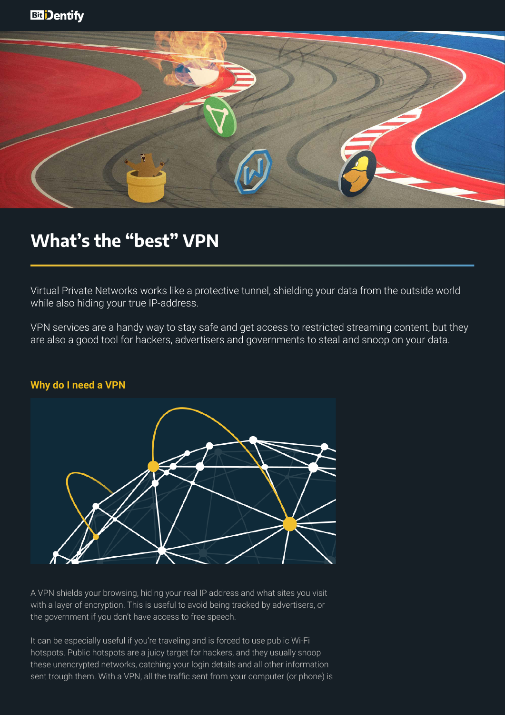

# What's the "best" VPN

Virtual Private Networks works like a protective tunnel, shielding your data from the outside world while also hiding your true IP-address.

VPN services are a handy way to stay safe and get access to restricted streaming content, but they are also a good tool for hackers, advertisers and governments to steal and snoop on your data.

### **Why do I need a VPN**



A VPN shields your browsing, hiding your real IP address and what sites you visit with a layer of encryption. This is useful to avoid being tracked by advertisers, or the government if you don't have access to free speech.

It can be especially useful if you're traveling and is forced to use public Wi-Fi hotspots. Public hotspots are a juicy target for hackers, and they usually snoop these unencrypted networks, catching your login details and all other information sent trough them. With a VPN, all the traffic sent from your computer (or phone) is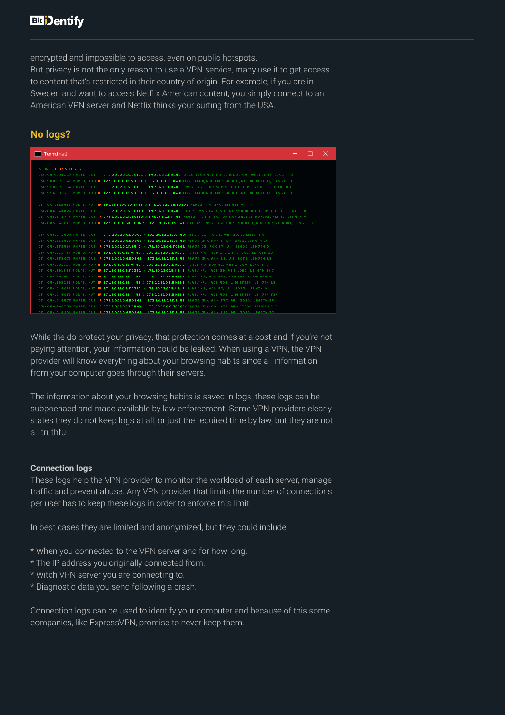encrypted and impossible to access, even on public hotspots.

But privacy is not the only reason to use a VPN-service, many use it to get access to content that's restricted in their country of origin. For example, if you are in Sweden and want to access Netflix American content, you simply connect to an American VPN server and Netflix thinks your surfing from the USA.

# **No logs?**

| Terminal                                                                                                                             |  | $\times$ |
|--------------------------------------------------------------------------------------------------------------------------------------|--|----------|
| START ACCESS LOGGS                                                                                                                   |  |          |
| 15:39:47.924257 PORTB, OUT: IP 172.20.120.15.50101 > 192.168.1.1.8443: BUSS 1460,NOP,NOP,SACKOK,NOP,WSCALE 1), LENGTH O              |  |          |
| 15:39:48.923741 PORTB, OUT: IP 172.20.120.15.50101 > 192.168.1.1.8443: [MSS 1460,NOP,NOP,SACKOK,NOP,WSCALE 1), LENGTH 0              |  |          |
|                                                                                                                                      |  |          |
| 15:39:50.927754 PORTB, OUT: IP 172.20.120.15.50101 > 192.168.1.1.8443: (MSS 1460,NOP,NOP,SACKOK,NOP,WSCALE 1), LENGTH 0              |  |          |
| 15:39:54.931573 PORTB, OUT: IP 172.20.120.15.50101 > 192.168.1.1.8443: [MSS 1460.NOP.NOP.SACKOK.NOP.WSCALE 1), LENGTH O              |  |          |
| 15:40:08.925431 PORTB, OUT: IP 192.168.100.10.8443 > 172.20.120.15.50101: FLAGS N 64240, LENGTH 0                                    |  |          |
| 15:40:44.244476 PORTB, OUT: IP 172.20.120.15.50110 > 192.168.1.1.8443: FLAGS IMSS 1460.NOP.NOP.SACKOK.NOP.WSCALE 1). LENGTH 0        |  |          |
| 15:40:45.243746 PORTB, OUT: IP 172.20.120.15.50110 > 192.168.1.1.8443: FLAGS IMSS 1460, NOP, NOP, SACKOK, NOP, WSCALE 1), LENGTH 0   |  |          |
| 15:40:45.642016 PORTB, OUT: IP 172.20.120.60.50362 > 172.20.120.15.8443: FLAGS IMSS 1460, NOP, WSCALE 8, NOP, NOP, SACKOK), LENGTH 0 |  |          |
|                                                                                                                                      |  |          |
| 15:40:45.642497 PORTB, OUT: IP 172.20.120.6.50362 > 172.20.120.15.8443: FLAGS (.3, ACK 1, WIN 2053, LENGTH 0)                        |  |          |
| 15:40:46.652453 PORTB, OUT: IP 172.20.120.6.50362 > 172.20.120.15.8443: FLAGS (P.), ACK 1, WIN 2053, LENGTH 16                       |  |          |
| 15:40:46.652486 PORTB, OUT: IP 172.20.120.15.8443 > 172.20.120.6.50362: FLAGS (.3, ACK 17, WIN 14600, LENGTH 0                       |  |          |
| 15:40:46.652714 PORTB, OUT: IP 172.20.120.15.8443 > 172.20.120.6.50362: FLAGS (P.), ACK 17, WIN 14600, LENGTH 28                     |  |          |
| 15:40:46.653073 PORTB, OUT: IP 172.20.120.6.50362 > 172.20.120.15.8443: FLAGS (P.), ACK 29, WIN 2053, LENGTH 24                      |  |          |
| 15:40:46.691627 PORTB, OUT: IP 172.20.120.15.8443 > 172.20.120.6.50362: FLAGS C3, ACK 41, WIN 14600, LENGTH 0                        |  |          |
| 15:40:46.691896 PORTB, OUT: IP 172.20.120.6.50362 > 172.20.120.15.8443: FLAGS (P.), ACK 29, WIN 2053, LENGTH 367                     |  |          |
| 15:40:46.691900 PORTB, OUT: IP 172.20.120.15.8443 > 172.20.120.6.50362: FLAGS (.3, ACK 408, WIN 15136, LENGTH 0                      |  |          |
| 15:40:46.692195 PORTB, OUT: IP 172.20.120.15.8443 > 172.20.120.6.50362: FLAGS (P.), ACK 408, WIN 15136, LENGTH 24                    |  |          |
| 15:40:46.746018 PORTB, OUT: IP 172.20.120.6.50362 > 172.20.120.15.8443: FLAGS (.3, ACK 53, WIN 2052, LENGTH 0                        |  |          |
| 15:40:46.746051 PORTB, OUT: IP 172.20.120.15.8443 > 172.20.120.6.50362: FLAGS (P.), ACK 408, WIN 15136, LENGTH 524                   |  |          |
| 15:40:46.746475 PORTB, OUT: IP 172.20.120.6.50362 > 172.20.120.15.8443: FLAGS (P.), ACK 577, WIN 2050, LENGTH 24                     |  |          |
| 15:40:46.746750 PORTB, OUT: IP 172.20.120.15.8443 > 172.20.120.6.50362: FLAGS (P.), ACK 432, WIN 15136, LENGTH 116                   |  |          |
| TERMINE TRESNE DADTO INITI IS 179 DA 198 E EASES A 179 DA 198 TE GEES ELGAR YON. GAVILGO, MINI DAEN I ENIGTH DO                      |  |          |

While the do protect your privacy, that protection comes at a cost and if you're not paying attention, your information could be leaked. When using a VPN, the VPN provider will know everything about your browsing habits since all information from your computer goes through their servers.

The information about your browsing habits is saved in logs, these logs can be subpoenaed and made available by law enforcement. Some VPN providers clearly states they do not keep logs at all, or just the required time by law, but they are not all truthful.

### **Connection logs**

These logs help the VPN provider to monitor the workload of each server, manage traffic and prevent abuse. Any VPN provider that limits the number of connections per user has to keep these logs in order to enforce this limit.

In best cases they are limited and anonymized, but they could include:

- \* When you connected to the VPN server and for how long.
- \* The IP address you originally connected from.
- \* Witch VPN server you are connecting to.
- \* Diagnostic data you send following a crash.

Connection logs can be used to identify your computer and because of this some companies, like ExpressVPN, promise to never keep them.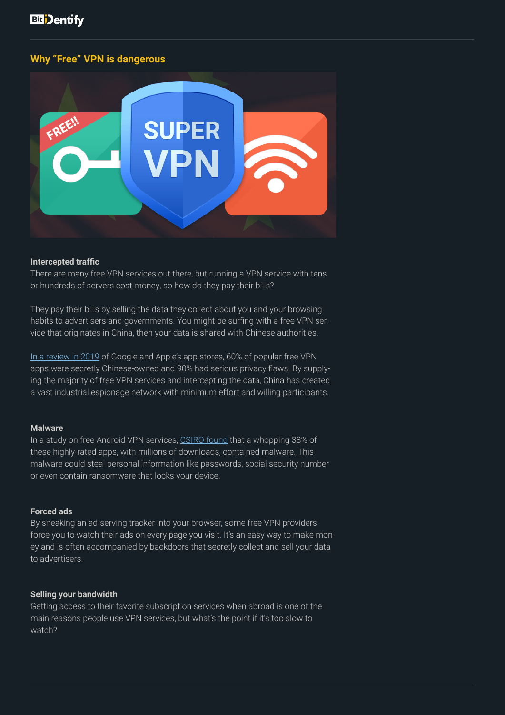### **Why "Free" VPN is dangerous**



#### **Intercepted traffic**

There are many free VPN services out there, but running a VPN service with tens or hundreds of servers cost money, so how do they pay their bills?

They pay their bills by selling the data they collect about you and your browsing habits to advertisers and governments. You might be surfing with a free VPN service that originates in China, then your data is shared with Chinese authorities.

[In a review in 2019](https://www.top10vpn.com/research/free-vpn-investigations/ownership/) of Google and Apple's app stores, 60% of popular free VPN apps were secretly Chinese-owned and 90% had serious privacy flaws. By supplying the majority of free VPN services and intercepting the data, China has created a vast industrial espionage network with minimum effort and willing participants.

#### **Malware**

In a study on free Android VPN services, [CSIRO found](https://cdn-resprivacy.pressidium.com/wp-content/uploads/2019/01/paper-1.pdf) that a whopping 38% of these highly-rated apps, with millions of downloads, contained malware. This malware could steal personal information like passwords, social security number or even contain ransomware that locks your device.

#### **Forced ads**

By sneaking an ad-serving tracker into your browser, some free VPN providers force you to watch their ads on every page you visit. It's an easy way to make money and is often accompanied by backdoors that secretly collect and sell your data to advertisers.

#### **Selling your bandwidth**

Getting access to their favorite subscription services when abroad is one of the main reasons people use VPN services, but what's the point if it's too slow to watch?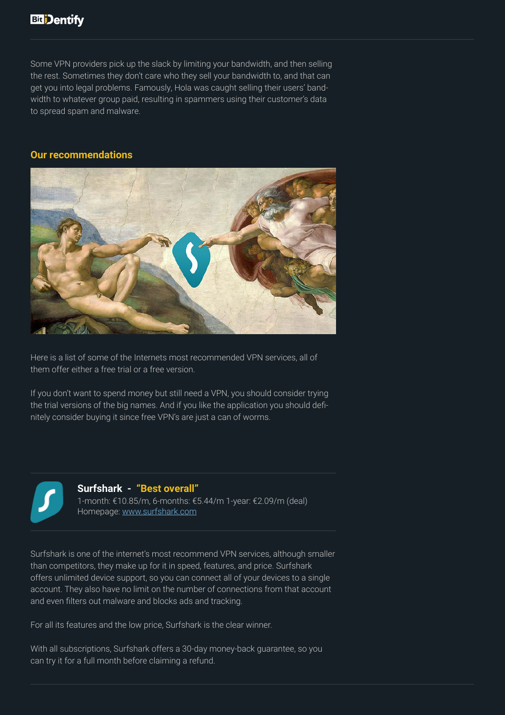Some VPN providers pick up the slack by limiting your bandwidth, and then selling the rest. Sometimes they don't care who they sell your bandwidth to, and that can get you into legal problems. Famously, Hola was caught selling their users' bandwidth to whatever group paid, resulting in spammers using their customer's data to spread spam and malware.

### **Our recommendations**



Here is a list of some of the Internets most recommended VPN services, all of them offer either a free trial or a free version.

If you don't want to spend money but still need a VPN, you should consider trying the trial versions of the big names. And if you like the application you should definitely consider buying it since free VPN's are just a can of worms.



### **Surfshark - "Best overall"**

1-month: €10.85/m, 6-months: €5.44/m 1-year: €2.09/m (deal) Homepage: [www.surfshark.com](https://surfshark.com/)

Surfshark is one of the internet's most recommend VPN services, although smaller than competitors, they make up for it in speed, features, and price. Surfshark offers unlimited device support, so you can connect all of your devices to a single account. They also have no limit on the number of connections from that account and even filters out malware and blocks ads and tracking.

For all its features and the low price, Surfshark is the clear winner.

With all subscriptions, Surfshark offers a 30-day money-back guarantee, so you can try it for a full month before claiming a refund.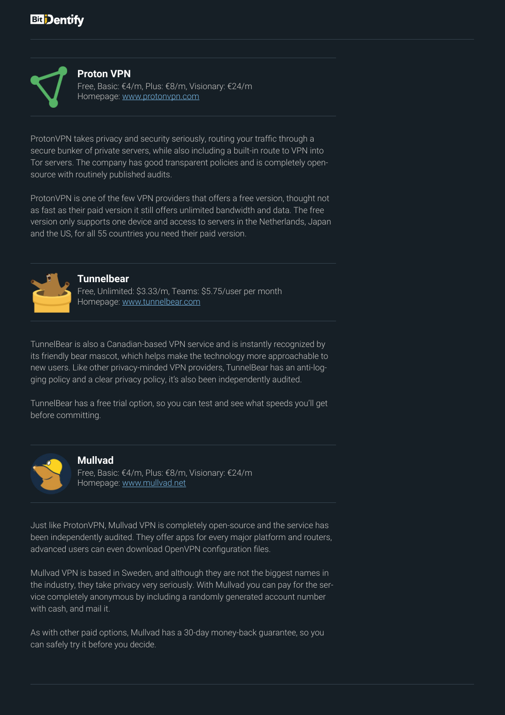

### **Proton VPN**

Free, Basic: €4/m, Plus: €8/m, Visionary: €24/m Homepage: [www.protonvpn.com](http://www.protonvpn.com)

ProtonVPN takes privacy and security seriously, routing your traffic through a secure bunker of private servers, while also including a built-in route to VPN into Tor servers. The company has good transparent policies and is completely opensource with routinely published audits.

ProtonVPN is one of the few VPN providers that offers a free version, thought not as fast as their paid version it still offers unlimited bandwidth and data. The free version only supports one device and access to servers in the Netherlands, Japan and the US, for all 55 countries you need their paid version.



#### **Tunnelbear**

Free, Unlimited: \$3.33/m, Teams: \$5.75/user per month Homepage: [www.t](http://www.tunnelbear.com)unnelbear.com

TunnelBear is also a Canadian-based VPN service and is instantly recognized by its friendly bear mascot, which helps make the technology more approachable to new users. Like other privacy-minded VPN providers, TunnelBear has an anti-logging policy and a clear privacy policy, it's also been independently audited.

TunnelBear has a free trial option, so you can test and see what speeds you'll get before committing.



#### **Mullvad**

Free, Basic: €4/m, Plus: €8/m, Visionary: €24/m Homepage: [www.mullvad.net](http://www.mullvad.net)

Just like ProtonVPN, Mullvad VPN is completely open-source and the service has been independently audited. They offer apps for every major platform and routers, advanced users can even download OpenVPN configuration files.

Mullvad VPN is based in Sweden, and although they are not the biggest names in the industry, they take privacy very seriously. With Mullvad you can pay for the service completely anonymous by including a randomly generated account number with cash, and mail it.

As with other paid options, Mullvad has a 30-day money-back guarantee, so you can safely try it before you decide.